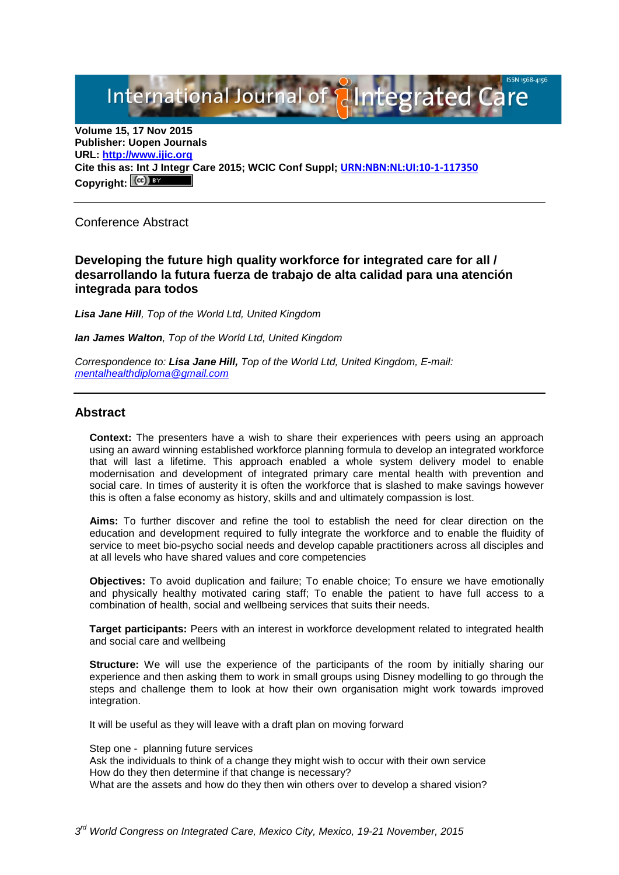International Journal of **Plantegrated Care** 

**Volume 15, 17 Nov 2015 Publisher: Uopen Journals URL: [http://www.ijic.org](http://www.ijic.org/) Cite this as: Int J Integr Care 2015; WCIC Conf Suppl; [URN:NBN:NL:UI:10-1-117350](http://persistent-identifier.nl/?identifier=URN:NBN:NL:UI:10-1-117350)** Copyright:  $(cc)$ 

Conference Abstract

**Developing the future high quality workforce for integrated care for all / desarrollando la futura fuerza de trabajo de alta calidad para una atención integrada para todos**

*Lisa Jane Hill, Top of the World Ltd, United Kingdom*

*Ian James Walton, Top of the World Ltd, United Kingdom*

*Correspondence to: Lisa Jane Hill, Top of the World Ltd, United Kingdom, E-mail: [mentalhealthdiploma@gmail.com](mailto:mentalhealthdiploma@gmail.com)*

## **Abstract**

**Context:** The presenters have a wish to share their experiences with peers using an approach using an award winning established workforce planning formula to develop an integrated workforce that will last a lifetime. This approach enabled a whole system delivery model to enable modernisation and development of integrated primary care mental health with prevention and social care. In times of austerity it is often the workforce that is slashed to make savings however this is often a false economy as history, skills and and ultimately compassion is lost.

**Aims:** To further discover and refine the tool to establish the need for clear direction on the education and development required to fully integrate the workforce and to enable the fluidity of service to meet bio-psycho social needs and develop capable practitioners across all disciples and at all levels who have shared values and core competencies

**Objectives:** To avoid duplication and failure; To enable choice; To ensure we have emotionally and physically healthy motivated caring staff; To enable the patient to have full access to a combination of health, social and wellbeing services that suits their needs.

**Target participants:** Peers with an interest in workforce development related to integrated health and social care and wellbeing

**Structure:** We will use the experience of the participants of the room by initially sharing our experience and then asking them to work in small groups using Disney modelling to go through the steps and challenge them to look at how their own organisation might work towards improved integration.

It will be useful as they will leave with a draft plan on moving forward

Step one - planning future services

Ask the individuals to think of a change they might wish to occur with their own service How do they then determine if that change is necessary? What are the assets and how do they then win others over to develop a shared vision?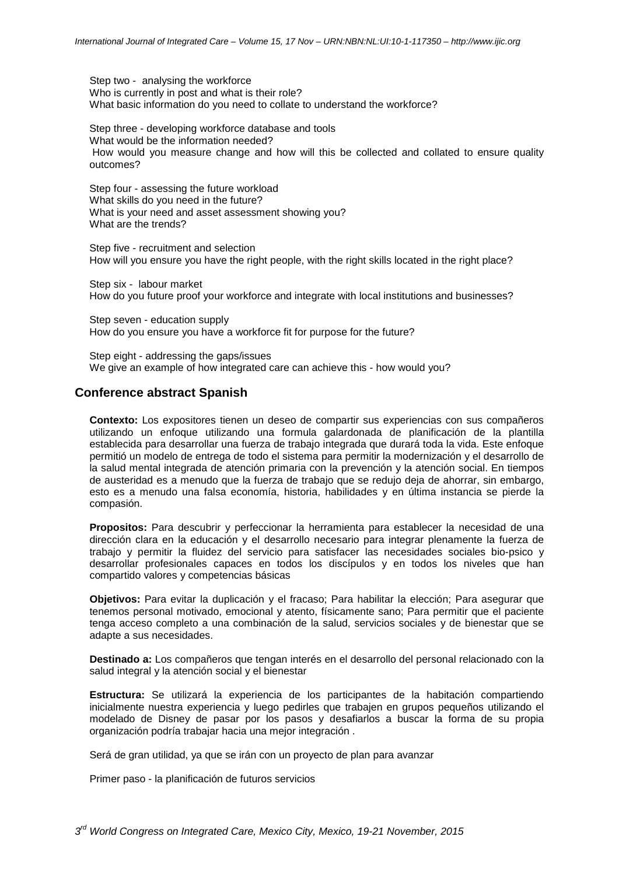Step two - analysing the workforce Who is currently in post and what is their role? What basic information do you need to collate to understand the workforce?

Step three - developing workforce database and tools What would be the information needed? How would you measure change and how will this be collected and collated to ensure quality outcomes?

Step four - assessing the future workload What skills do you need in the future? What is your need and asset assessment showing you? What are the trends?

Step five - recruitment and selection How will you ensure you have the right people, with the right skills located in the right place?

Step six - labour market How do you future proof your workforce and integrate with local institutions and businesses?

Step seven - education supply How do you ensure you have a workforce fit for purpose for the future?

Step eight - addressing the gaps/issues We give an example of how integrated care can achieve this - how would you?

## **Conference abstract Spanish**

**Contexto:** Los expositores tienen un deseo de compartir sus experiencias con sus compañeros utilizando un enfoque utilizando una formula galardonada de planificación de la plantilla establecida para desarrollar una fuerza de trabajo integrada que durará toda la vida. Este enfoque permitió un modelo de entrega de todo el sistema para permitir la modernización y el desarrollo de la salud mental integrada de atención primaria con la prevención y la atención social. En tiempos de austeridad es a menudo que la fuerza de trabajo que se redujo deja de ahorrar, sin embargo, esto es a menudo una falsa economía, historia, habilidades y en última instancia se pierde la compasión.

**Propositos:** Para descubrir y perfeccionar la herramienta para establecer la necesidad de una dirección clara en la educación y el desarrollo necesario para integrar plenamente la fuerza de trabajo y permitir la fluidez del servicio para satisfacer las necesidades sociales bio-psico y desarrollar profesionales capaces en todos los discípulos y en todos los niveles que han compartido valores y competencias básicas

**Objetivos:** Para evitar la duplicación y el fracaso; Para habilitar la elección; Para asegurar que tenemos personal motivado, emocional y atento, físicamente sano; Para permitir que el paciente tenga acceso completo a una combinación de la salud, servicios sociales y de bienestar que se adapte a sus necesidades.

**Destinado a:** Los compañeros que tengan interés en el desarrollo del personal relacionado con la salud integral y la atención social y el bienestar

**Estructura:** Se utilizará la experiencia de los participantes de la habitación compartiendo inicialmente nuestra experiencia y luego pedirles que trabajen en grupos pequeños utilizando el modelado de Disney de pasar por los pasos y desafiarlos a buscar la forma de su propia organización podría trabajar hacia una mejor integración .

Será de gran utilidad, ya que se irán con un proyecto de plan para avanzar

Primer paso - la planificación de futuros servicios